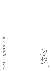Careers Experience Diary Careers Experience Diary

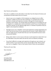## **To the Parent**

Dear Parents and Guardians

This note is in addition to the information in the letter from the Head at Christmas and incorporates the latest advice from our insurers.

- Injury *to* your son or daughter: All UK employers are obliged by law to effect Employers' Liability Insurance for their employees. It is standard UK insurance practice to include work experience trainees, although this should always be checked in each instance. You should satisfy yourself that you are sending your son or daughter to a suitable place and be particularly careful if you are planning work experience abroad. On the opposite page there is a checklist of questions that you ought to ask prospective employers.
- Damage *by* your son or daughter: As the work experience is being organised by you rather than by the School, we are advised that the School's Public Liability Policy does not apply and you should check that your own Household Insurance covers any personal liability.
- Being under sixteen is not an issue as the law on work experience states that it can be undertaken at any time within the last four terms of statutory schooling.
- If you find it difficult to arrange work experience through your own contacts, our Careers Centre or your local careers service may be able to help. Please contact your son's or daughter's Tutor or the Careers Centre if there are any problems.

Thank you for your help.

Yours sincerely

OU.

Dr Gordon West Head of Careers Gwest@stowe.co.uk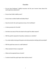## **Checklist**

- Do you have Employers' Liability Insurance and do your insurers know about this work experience placement?
- Do you have Public Liability cover?
- Do you have a written Health and Safety Policy?
- Does the site for the work experience have a Fire Certificate?
- Is there provision for First Aid?
- Are there any areas of the site closed to the pupil for safety reasons?
- Will the pupil be exposed to hazardous substances or activities?
- If so, what safety training will be given and what protective clothing will be provided?
- Will the pupil have access to a staff cafeteria?
- What standard of dress is expected?
- What are the expected hours of work?
- To whom should the pupil report when he/she arrives?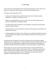# **To the Pupil**

In the summer you will undertake career related work experience. These notes are to help you to understand what to expect and what will be expected of you.

The value of work experience is that:

- It gives you the opportunity to gain first-hand experience of typical working conditions in an office or other place of work.
- It gives you responsibility. You are out on your own. You will be expected to be punctual, independent and helpful to others.
- You will be able to talk to people who are working for a living and ask them direct questions about their jobs.
- It should help you to see why industry, commerce and business are essential for the welfare of the country.
- It should enable you to find out more about your own ability and interests and to see the links between the subjects you are studying at School and the skills required in working life.

The business that has agreed to accept you will expect you to be punctual, helpful, reliable and smart in appearance. You will be asked to perform relatively simple and non ‐specialist tasks and will be given an insight into how the business is organised and conducted. A brief report will be submitted on how well you fitted in and performed.

Stowe expects you to carry out the instructions that you are given cheerfully and conscientiously, to keep a written record of your work in a simple diary and to write a letter of thanks to your employer. On your return to Stowe, you will be expected to discuss your experiences with your Tutor. This booklet, and any letter from your employer, should be kept safely for future reference.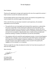## **To the Employer**

#### Dear Employer

Thank you for agreeing to arrange work experience for one of our pupils this summer. I hope it proves a success for everyone concerned.

As this booklet will form part of the pupil's record, we would be most grateful if you could complete the comments page in the final section.

If this is the first time you have been involved in work experience, the standard expectations are set out below:

- The pupil will carry out meaningful work during his/her experience, as planned by the person responsible. He/she will be given adequate instruction before, and supervision during, the use of machinery or other equipment. He/she will not be required to operate a hazardous machine, work in a hazardous environment or carry out work of an unsuitable or objectionable nature. He/she will be provided with protective clothing, if needed, and allowed to use the first aid facilities.
- The employer will (as he would for paid employees) accept, or insure himself against, liability for loss, damage or injury caused by the pupil while he/she is doing his/her work experience to the employer's property, employees or a third party and will arrange insurance cover against accident or injury caused to the pupil by the negligence of the employer or an employee.

Thank you again for your help, but please do contact me if you have any queries or if there are any problems.

Yours sincerely

Office.

Dr Gordon West Head of Careers gwest@stowe.co.uk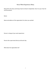## **Stowe Work Experience Diary**

Please fill in this diary and bring it back to School in September. Give it to your Tutor for record purposes.

Name:

Name and address of the organisation for whom you worked:

Person in charge of your work experience:

Person who supervised what you did each day:

What does the organisation do?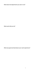What does the department you were in do?

What work did you do?

What was good and bad about your work experience?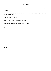## **Daily Diary**

Each evening, write down your impressions of the day  $-$  what you learned, liked and disliked.

Make sure that you read through the aims of work experience on page three of this booklet. For instance:

have you asked questions?

what are you finding out about your own abilities?

can you see links between School subjects and jobs?

Day 1

Day 2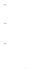Day 4

Day 5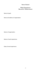## **Stowe School**

#### **Work Experience Record of Achievement**

Name of pupil:

Name and address of organisation:

Nature of organisation:

Nature of work experience:

Dates of work experience: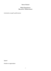# **Stowe School**

#### **Work Experience Record of Achievement**

Comments on pupil's performance:

Signed:

Position in organisation: